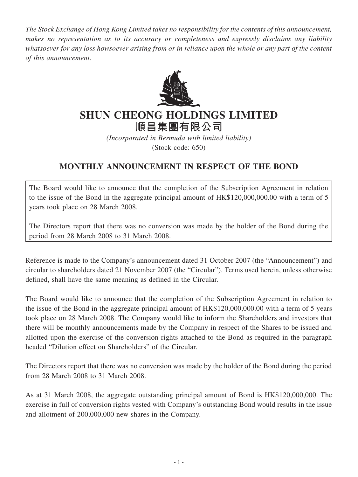*The Stock Exchange of Hong Kong Limited takes no responsibility for the contents of this announcement, makes no representation as to its accuracy or completeness and expressly disclaims any liability whatsoever for any loss howsoever arising from or in reliance upon the whole or any part of the content of this announcement.*



## **SHUN CHEONG HOLDINGS LIMITED**

**順昌集團有限公司**

*(Incorporated in Bermuda with limited liability)* (Stock code: 650)

## **MONTHLY ANNOUNCEMENT IN RESPECT OF THE BOND**

The Board would like to announce that the completion of the Subscription Agreement in relation to the issue of the Bond in the aggregate principal amount of HK\$120,000,000.00 with a term of 5 years took place on 28 March 2008.

The Directors report that there was no conversion was made by the holder of the Bond during the period from 28 March 2008 to 31 March 2008.

Reference is made to the Company's announcement dated 31 October 2007 (the "Announcement") and circular to shareholders dated 21 November 2007 (the "Circular"). Terms used herein, unless otherwise defined, shall have the same meaning as defined in the Circular.

The Board would like to announce that the completion of the Subscription Agreement in relation to the issue of the Bond in the aggregate principal amount of HK\$120,000,000.00 with a term of 5 years took place on 28 March 2008. The Company would like to inform the Shareholders and investors that there will be monthly announcements made by the Company in respect of the Shares to be issued and allotted upon the exercise of the conversion rights attached to the Bond as required in the paragraph headed "Dilution effect on Shareholders" of the Circular.

The Directors report that there was no conversion was made by the holder of the Bond during the period from 28 March 2008 to 31 March 2008.

As at 31 March 2008, the aggregate outstanding principal amount of Bond is HK\$120,000,000. The exercise in full of conversion rights vested with Company's outstanding Bond would results in the issue and allotment of 200,000,000 new shares in the Company.